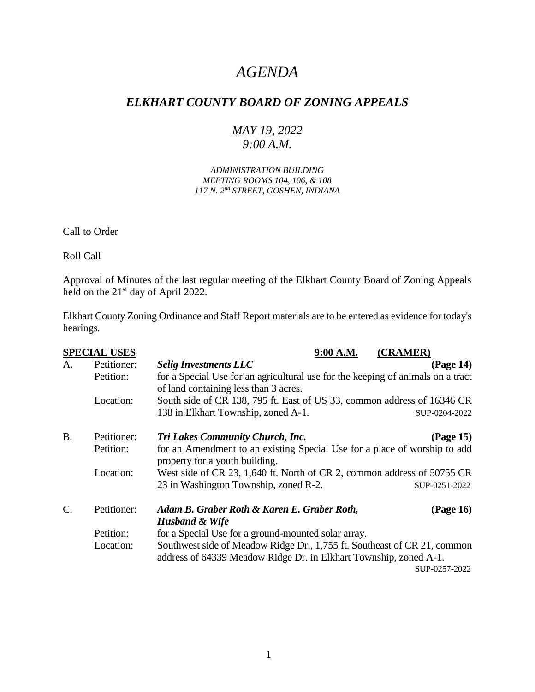# *AGENDA*

## *ELKHART COUNTY BOARD OF ZONING APPEALS*

## *MAY 19, 2022 9:00 A.M.*

*ADMINISTRATION BUILDING MEETING ROOMS 104, 106, & 108 117 N. 2nd STREET, GOSHEN, INDIANA*

Call to Order

Roll Call

Approval of Minutes of the last regular meeting of the Elkhart County Board of Zoning Appeals held on the 21<sup>st</sup> day of April 2022.

Elkhart County Zoning Ordinance and Staff Report materials are to be entered as evidence for today's hearings.

| <b>SPECIAL USES</b> |                                                                                                                                       | 9:00 A.M.<br>(CRAMER)                                                                                                                                          |  |  |
|---------------------|---------------------------------------------------------------------------------------------------------------------------------------|----------------------------------------------------------------------------------------------------------------------------------------------------------------|--|--|
| A.                  | Petitioner:                                                                                                                           | <b>Selig Investments LLC</b><br>(Page 14)                                                                                                                      |  |  |
|                     | for a Special Use for an agricultural use for the keeping of animals on a tract<br>Petition:<br>of land containing less than 3 acres. |                                                                                                                                                                |  |  |
|                     | Location:                                                                                                                             | South side of CR 138, 795 ft. East of US 33, common address of 16346 CR                                                                                        |  |  |
|                     |                                                                                                                                       | 138 in Elkhart Township, zoned A-1.<br>SUP-0204-2022                                                                                                           |  |  |
| <b>B.</b>           | Petitioner:                                                                                                                           | (Page 15)<br><b>Tri Lakes Community Church, Inc.</b>                                                                                                           |  |  |
|                     | Petition:                                                                                                                             | for an Amendment to an existing Special Use for a place of worship to add<br>property for a youth building.                                                    |  |  |
|                     | Location:                                                                                                                             | West side of CR 23, 1,640 ft. North of CR 2, common address of 50755 CR                                                                                        |  |  |
|                     |                                                                                                                                       | 23 in Washington Township, zoned R-2.<br>SUP-0251-2022                                                                                                         |  |  |
| $\mathcal{C}$ .     | Petitioner:                                                                                                                           | (Page 16)<br>Adam B. Graber Roth & Karen E. Graber Roth,<br><b>Husband &amp; Wife</b>                                                                          |  |  |
|                     | Petition:                                                                                                                             | for a Special Use for a ground-mounted solar array.                                                                                                            |  |  |
|                     | Location:                                                                                                                             | Southwest side of Meadow Ridge Dr., 1,755 ft. Southeast of CR 21, common<br>address of 64339 Meadow Ridge Dr. in Elkhart Township, zoned A-1.<br>SUP-0257-2022 |  |  |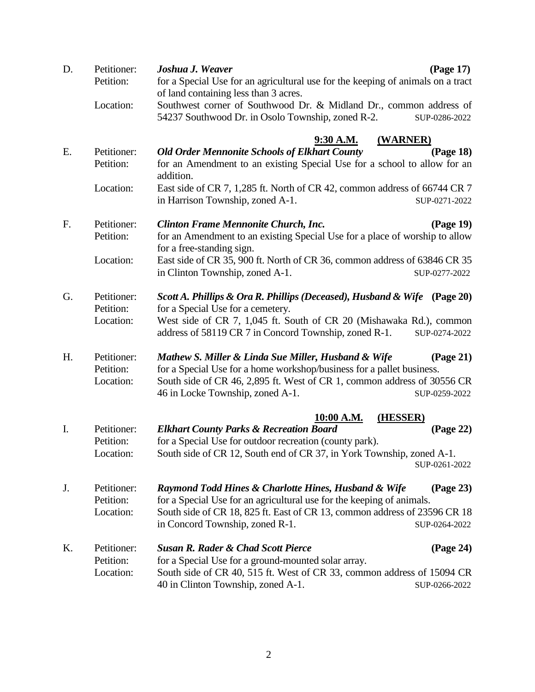| D. | Petitioner:<br>Petition:              | Joshua J. Weaver<br>(Page 17)<br>for a Special Use for an agricultural use for the keeping of animals on a tract<br>of land containing less than 3 acres.                                                                                                                 |  |  |  |
|----|---------------------------------------|---------------------------------------------------------------------------------------------------------------------------------------------------------------------------------------------------------------------------------------------------------------------------|--|--|--|
|    | Location:                             | Southwest corner of Southwood Dr. & Midland Dr., common address of<br>54237 Southwood Dr. in Osolo Township, zoned R-2.<br>SUP-0286-2022                                                                                                                                  |  |  |  |
| E. | Petitioner:                           | 9:30 A.M.<br>(WARNER)<br><b>Old Order Mennonite Schools of Elkhart County</b><br>(Page 18)                                                                                                                                                                                |  |  |  |
|    | Petition:                             | for an Amendment to an existing Special Use for a school to allow for an<br>addition.                                                                                                                                                                                     |  |  |  |
|    | Location:                             | East side of CR 7, 1,285 ft. North of CR 42, common address of 66744 CR 7<br>in Harrison Township, zoned A-1.<br>SUP-0271-2022                                                                                                                                            |  |  |  |
| F. | Petitioner:                           | <b>Clinton Frame Mennonite Church, Inc.</b><br>(Page 19)                                                                                                                                                                                                                  |  |  |  |
|    | Petition:                             | for an Amendment to an existing Special Use for a place of worship to allow<br>for a free-standing sign.                                                                                                                                                                  |  |  |  |
|    | Location:                             | East side of CR 35, 900 ft. North of CR 36, common address of 63846 CR 35<br>in Clinton Township, zoned A-1.<br>SUP-0277-2022                                                                                                                                             |  |  |  |
| G. | Petitioner:<br>Petition:              | Scott A. Phillips & Ora R. Phillips (Deceased), Husband & Wife<br>$\left( \text{Page } 20 \right)$<br>for a Special Use for a cemetery.                                                                                                                                   |  |  |  |
|    | Location:                             | West side of CR 7, 1,045 ft. South of CR 20 (Mishawaka Rd.), common<br>address of 58119 CR 7 in Concord Township, zoned R-1.<br>SUP-0274-2022                                                                                                                             |  |  |  |
| H. | Petitioner:<br>Petition:<br>Location: | Mathew S. Miller & Linda Sue Miller, Husband & Wife<br>(Page 21)<br>for a Special Use for a home workshop/business for a pallet business.<br>South side of CR 46, 2,895 ft. West of CR 1, common address of 30556 CR<br>46 in Locke Township, zoned A-1.<br>SUP-0259-2022 |  |  |  |
|    |                                       | 10:00 A.M.<br>(HESSER)                                                                                                                                                                                                                                                    |  |  |  |
| I. | Petitioner:<br>Petition:              | <b>Elkhart County Parks &amp; Recreation Board</b><br>(Page 22)<br>for a Special Use for outdoor recreation (county park).                                                                                                                                                |  |  |  |
|    | Location:                             | South side of CR 12, South end of CR 37, in York Township, zoned A-1.<br>SUP-0261-2022                                                                                                                                                                                    |  |  |  |
| J. | Petitioner:<br>Petition:              | Raymond Todd Hines & Charlotte Hines, Husband & Wife<br>(Page 23)<br>for a Special Use for an agricultural use for the keeping of animals.                                                                                                                                |  |  |  |
|    | Location:                             | South side of CR 18, 825 ft. East of CR 13, common address of 23596 CR 18<br>in Concord Township, zoned R-1.<br>SUP-0264-2022                                                                                                                                             |  |  |  |
| K. | Petitioner:                           | <b>Susan R. Rader &amp; Chad Scott Pierce</b><br>(Page 24)                                                                                                                                                                                                                |  |  |  |
|    | Petition:                             | for a Special Use for a ground-mounted solar array.                                                                                                                                                                                                                       |  |  |  |
|    | Location:                             | South side of CR 40, 515 ft. West of CR 33, common address of 15094 CR<br>40 in Clinton Township, zoned A-1.<br>SUP-0266-2022                                                                                                                                             |  |  |  |